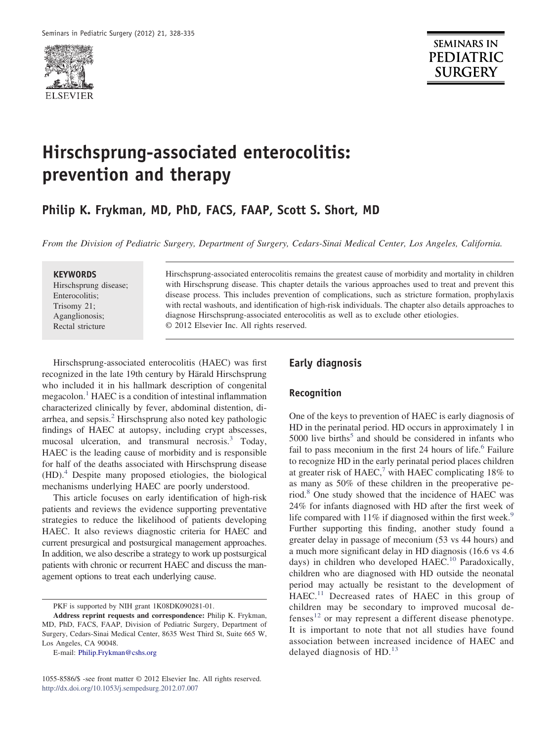



# **Hirschsprung-associated enterocolitis: prevention and therapy**

# **Philip K. Frykman, MD, PhD, FACS, FAAP, Scott S. Short, MD**

*From the Division of Pediatric Surgery, Department of Surgery, Cedars-Sinai Medical Center, Los Angeles, California.*

#### **KEYWORDS**

Hirschsprung disease; Enterocolitis; Trisomy 21; Aganglionosis; Rectal stricture

Hirschsprung-associated enterocolitis remains the greatest cause of morbidity and mortality in children with Hirschsprung disease. This chapter details the various approaches used to treat and prevent this disease process. This includes prevention of complications, such as stricture formation, prophylaxis with rectal washouts, and identification of high-risk individuals. The chapter also details approaches to diagnose Hirschsprung-associated enterocolitis as well as to exclude other etiologies. © 2012 Elsevier Inc. All rights reserved.

Hirschsprung-associated enterocolitis (HAEC) was first recognized in the late 19th century by Härald Hirschsprung who included it in his hallmark description of congenital megacolon.<sup>[1](#page-6-0)</sup> HAEC is a condition of intestinal inflammation characterized clinically by fever, abdominal distention, diarrhea, and sepsis.<sup>2</sup> Hirschsprung also noted key pathologic findings of HAEC at autopsy, including crypt abscesses, mucosal ulceration, and transmural necrosis.<sup>[3](#page-6-2)</sup> Today, HAEC is the leading cause of morbidity and is responsible for half of the deaths associated with Hirschsprung disease (HD).[4](#page-6-3) Despite many proposed etiologies, the biological mechanisms underlying HAEC are poorly understood.

This article focuses on early identification of high-risk patients and reviews the evidence supporting preventative strategies to reduce the likelihood of patients developing HAEC. It also reviews diagnostic criteria for HAEC and current presurgical and postsurgical management approaches. In addition, we also describe a strategy to work up postsurgical patients with chronic or recurrent HAEC and discuss the management options to treat each underlying cause.

PKF is supported by NIH grant 1K08DK090281-01.

E-mail: [Philip.Frykman@cshs.org](mailto:Philip.Frykman@cshs.org)

# **Early diagnosis**

#### **Recognition**

One of the keys to prevention of HAEC is early diagnosis of HD in the perinatal period. HD occurs in approximately 1 in  $5000$  $5000$  live births<sup>5</sup> and should be considered in infants who fail to pass meconium in the first  $24$  hours of life.<sup>[6](#page-6-5)</sup> Failure to recognize HD in the early perinatal period places children at greater risk of HAEC, $\prime$  with HAEC complicating 18% to as many as 50% of these children in the preoperative pe-riod.<sup>[8](#page-6-7)</sup> One study showed that the incidence of HAEC was 24% for infants diagnosed with HD after the first week of life compared with  $11\%$  if diagnosed within the first week.<sup>[9](#page-6-8)</sup> Further supporting this finding, another study found a greater delay in passage of meconium (53 vs 44 hours) and a much more significant delay in HD diagnosis (16.6 vs 4.6 days) in children who developed  $H A E C$ <sup>10</sup> Paradoxically, children who are diagnosed with HD outside the neonatal period may actually be resistant to the development of  $H A E C$ <sup>11</sup> Decreased rates of  $H A E C$  in this group of children may be secondary to improved mucosal de-fenses<sup>[12](#page-6-11)</sup> or may represent a different disease phenotype. It is important to note that not all studies have found association between increased incidence of HAEC and delayed diagnosis of  $HD<sup>13</sup>$  $HD<sup>13</sup>$  $HD<sup>13</sup>$ 

**Address reprint requests and correspondence:** Philip K. Frykman, MD, PhD, FACS, FAAP, Division of Pediatric Surgery, Department of Surgery, Cedars-Sinai Medical Center, 8635 West Third St, Suite 665 W, Los Angeles, CA 90048.

<sup>1055-8586/\$ -</sup>see front matter © 2012 Elsevier Inc. All rights reserved. <http://dx.doi.org/10.1053/j.sempedsurg.2012.07.007>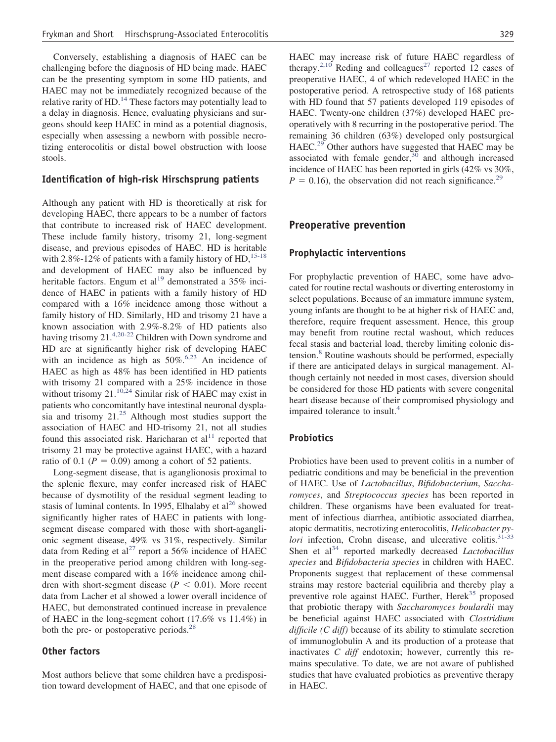Conversely, establishing a diagnosis of HAEC can be challenging before the diagnosis of HD being made. HAEC can be the presenting symptom in some HD patients, and HAEC may not be immediately recognized because of the relative rarity of  $HD<sup>14</sup>$  $HD<sup>14</sup>$  $HD<sup>14</sup>$ . These factors may potentially lead to a delay in diagnosis. Hence, evaluating physicians and surgeons should keep HAEC in mind as a potential diagnosis, especially when assessing a newborn with possible necrotizing enterocolitis or distal bowel obstruction with loose stools.

#### **Identification of high-risk Hirschsprung patients**

Although any patient with HD is theoretically at risk for developing HAEC, there appears to be a number of factors that contribute to increased risk of HAEC development. These include family history, trisomy 21, long-segment disease, and previous episodes of HAEC. HD is heritable with 2.8%-12% of patients with a family history of  $HD<sup>15-18</sup>$  $HD<sup>15-18</sup>$  $HD<sup>15-18</sup>$ , and development of HAEC may also be influenced by heritable factors. Engum et al<sup>19</sup> demonstrated a 35% incidence of HAEC in patients with a family history of HD compared with a 16% incidence among those without a family history of HD. Similarly, HD and trisomy 21 have a known association with 2.9%-8.2% of HD patients also having trisomy 21.<sup>4,20-22</sup> Children with Down syndrome and HD are at significantly higher risk of developing HAEC with an incidence as high as  $50\%$ .<sup>[6,23](#page-6-5)</sup> An incidence of HAEC as high as 48% has been identified in HD patients with trisomy 21 compared with a 25% incidence in those without trisomy  $21.1^{10,24}$  $21.1^{10,24}$  $21.1^{10,24}$  Similar risk of HAEC may exist in patients who concomitantly have intestinal neuronal dysplasia and trisomy 21.[25](#page-6-16) Although most studies support the association of HAEC and HD-trisomy 21, not all studies found this associated risk. Haricharan et  $al<sup>11</sup>$  reported that trisomy 21 may be protective against HAEC, with a hazard ratio of 0.1 ( $P = 0.09$ ) among a cohort of 52 patients.

Long-segment disease, that is aganglionosis proximal to the splenic flexure, may confer increased risk of HAEC because of dysmotility of the residual segment leading to stasis of luminal contents. In 1995, Elhalaby et  $al^{26}$  $al^{26}$  $al^{26}$  showed significantly higher rates of HAEC in patients with longsegment disease compared with those with short-aganglionic segment disease, 49% vs 31%, respectively. Similar data from Reding et al<sup>27</sup> report a 56% incidence of HAEC in the preoperative period among children with long-segment disease compared with a 16% incidence among children with short-segment disease  $(P < 0.01)$ . More recent data from Lacher et al showed a lower overall incidence of HAEC, but demonstrated continued increase in prevalence of HAEC in the long-segment cohort (17.6% vs 11.4%) in both the pre- or postoperative periods.<sup>[28](#page-7-1)</sup>

#### **Other factors**

Most authors believe that some children have a predisposition toward development of HAEC, and that one episode of

HAEC may increase risk of future HAEC regardless of therapy.<sup>[2,10](#page-6-1)</sup> Reding and colleagues<sup>[27](#page-7-0)</sup> reported 12 cases of preoperative HAEC, 4 of which redeveloped HAEC in the postoperative period. A retrospective study of 168 patients with HD found that 57 patients developed 119 episodes of HAEC. Twenty-one children (37%) developed HAEC preoperatively with 8 recurring in the postoperative period. The remaining 36 children (63%) developed only postsurgical  $HAEC<sup>29</sup>$  $HAEC<sup>29</sup>$  $HAEC<sup>29</sup>$  Other authors have suggested that  $HAEC$  may be associated with female gender,  $30$  and although increased incidence of HAEC has been reported in girls (42% vs 30%,  $P = 0.16$ ), the observation did not reach significance.<sup>[29](#page-7-2)</sup>

#### **Preoperative prevention**

#### **Prophylactic interventions**

For prophylactic prevention of HAEC, some have advocated for routine rectal washouts or diverting enterostomy in select populations. Because of an immature immune system, young infants are thought to be at higher risk of HAEC and, therefore, require frequent assessment. Hence, this group may benefit from routine rectal washout, which reduces fecal stasis and bacterial load, thereby limiting colonic dis-tension.<sup>[8](#page-6-7)</sup> Routine washouts should be performed, especially if there are anticipated delays in surgical management. Although certainly not needed in most cases, diversion should be considered for those HD patients with severe congenital heart disease because of their compromised physiology and impaired tolerance to insult.<sup>[4](#page-6-3)</sup>

#### **Probiotics**

Probiotics have been used to prevent colitis in a number of pediatric conditions and may be beneficial in the prevention of HAEC. Use of *Lactobacillus*, *Bifidobacterium*, *Saccharomyces*, and *Streptococcus species* has been reported in children. These organisms have been evaluated for treatment of infectious diarrhea, antibiotic associated diarrhea, atopic dermatitis, necrotizing enterocolitis, *Helicobacter pylori* infection, Crohn disease, and ulcerative colitis.<sup>31-33</sup> Shen et al<sup>[34](#page-7-5)</sup> reported markedly decreased *Lactobacillus species* and *Bifidobacteria species* in children with HAEC. Proponents suggest that replacement of these commensal strains may restore bacterial equilibria and thereby play a preventive role against HAEC. Further, Herek<sup>35</sup> proposed that probiotic therapy with *Saccharomyces boulardii* may be beneficial against HAEC associated with *Clostridium difficile (C diff)* because of its ability to stimulate secretion of immunoglobulin A and its production of a protease that inactivates *C diff* endotoxin; however, currently this remains speculative. To date, we are not aware of published studies that have evaluated probiotics as preventive therapy in HAEC.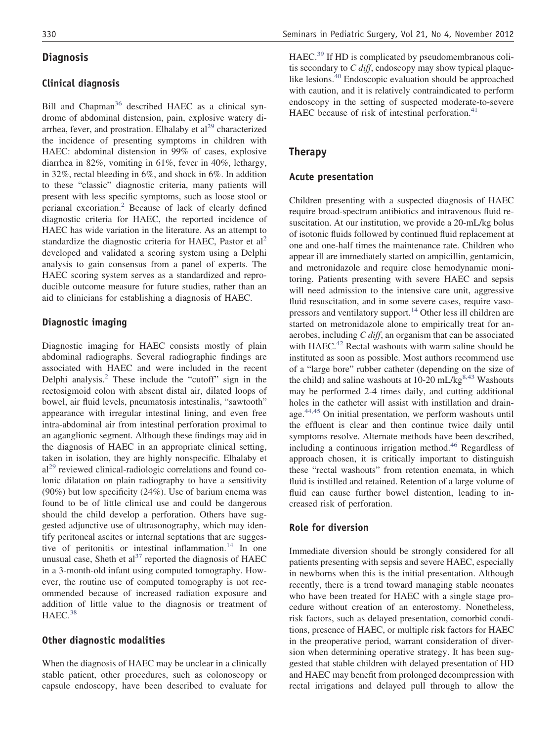#### **Diagnosis**

#### **Clinical diagnosis**

Bill and Chapman<sup>[36](#page-7-7)</sup> described HAEC as a clinical syndrome of abdominal distension, pain, explosive watery diarrhea, fever, and prostration. Elhalaby et  $al^{29}$  $al^{29}$  $al^{29}$  characterized the incidence of presenting symptoms in children with HAEC: abdominal distension in 99% of cases, explosive diarrhea in 82%, vomiting in 61%, fever in 40%, lethargy, in 32%, rectal bleeding in 6%, and shock in 6%. In addition to these "classic" diagnostic criteria, many patients will present with less specific symptoms, such as loose stool or perianal excoriation.[2](#page-6-1) Because of lack of clearly defined diagnostic criteria for HAEC, the reported incidence of HAEC has wide variation in the literature. As an attempt to standardize the diagnostic criteria for HAEC, Pastor et al<sup>[2](#page-6-1)</sup> developed and validated a scoring system using a Delphi analysis to gain consensus from a panel of experts. The HAEC scoring system serves as a standardized and reproducible outcome measure for future studies, rather than an aid to clinicians for establishing a diagnosis of HAEC.

#### **Diagnostic imaging**

Diagnostic imaging for HAEC consists mostly of plain abdominal radiographs. Several radiographic findings are associated with HAEC and were included in the recent Delphi analysis. $2$  These include the "cutoff" sign in the rectosigmoid colon with absent distal air, dilated loops of bowel, air fluid levels, pneumatosis intestinalis, "sawtooth" appearance with irregular intestinal lining, and even free intra-abdominal air from intestinal perforation proximal to an aganglionic segment. Although these findings may aid in the diagnosis of HAEC in an appropriate clinical setting, taken in isolation, they are highly nonspecific. Elhalaby et  $al<sup>29</sup>$  reviewed clinical-radiologic correlations and found colonic dilatation on plain radiography to have a sensitivity (90%) but low specificity (24%). Use of barium enema was found to be of little clinical use and could be dangerous should the child develop a perforation. Others have suggested adjunctive use of ultrasonography, which may identify peritoneal ascites or internal septations that are sugges-tive of peritonitis or intestinal inflammation.<sup>[14](#page-6-13)</sup> In one unusual case, Sheth et  $al^{37}$  reported the diagnosis of HAEC in a 3-month-old infant using computed tomography. However, the routine use of computed tomography is not recommended because of increased radiation exposure and addition of little value to the diagnosis or treatment of HAEC.<sup>[38](#page-7-9)</sup>

#### **Other diagnostic modalities**

When the diagnosis of HAEC may be unclear in a clinically stable patient, other procedures, such as colonoscopy or capsule endoscopy, have been described to evaluate for

HAEC.<sup>[39](#page-7-10)</sup> If HD is complicated by pseudomembranous colitis secondary to *C diff*, endoscopy may show typical plaquelike lesions.<sup>40</sup> Endoscopic evaluation should be approached with caution, and it is relatively contraindicated to perform endoscopy in the setting of suspected moderate-to-severe HAEC because of risk of intestinal perforation. $41$ 

# **Therapy**

#### **Acute presentation**

Children presenting with a suspected diagnosis of HAEC require broad-spectrum antibiotics and intravenous fluid resuscitation. At our institution, we provide a 20-mL/kg bolus of isotonic fluids followed by continued fluid replacement at one and one-half times the maintenance rate. Children who appear ill are immediately started on ampicillin, gentamicin, and metronidazole and require close hemodynamic monitoring. Patients presenting with severe HAEC and sepsis will need admission to the intensive care unit, aggressive fluid resuscitation, and in some severe cases, require vaso-pressors and ventilatory support.<sup>[14](#page-6-13)</sup> Other less ill children are started on metronidazole alone to empirically treat for anaerobes, including *C diff*, an organism that can be associated with HAEC.<sup>[42](#page-7-13)</sup> Rectal washouts with warm saline should be instituted as soon as possible. Most authors recommend use of a "large bore" rubber catheter (depending on the size of the child) and saline washouts at 10-20 mL/kg<sup>[8,43](#page-6-7)</sup> Washouts may be performed 2-4 times daily, and cutting additional holes in the catheter will assist with instillation and drainage.<sup>44,45</sup> On initial presentation, we perform washouts until the effluent is clear and then continue twice daily until symptoms resolve. Alternate methods have been described, including a continuous irrigation method.<sup>[46](#page-7-15)</sup> Regardless of approach chosen, it is critically important to distinguish these "rectal washouts" from retention enemata, in which fluid is instilled and retained. Retention of a large volume of fluid can cause further bowel distention, leading to increased risk of perforation.

#### **Role for diversion**

Immediate diversion should be strongly considered for all patients presenting with sepsis and severe HAEC, especially in newborns when this is the initial presentation. Although recently, there is a trend toward managing stable neonates who have been treated for HAEC with a single stage procedure without creation of an enterostomy. Nonetheless, risk factors, such as delayed presentation, comorbid conditions, presence of HAEC, or multiple risk factors for HAEC in the preoperative period, warrant consideration of diversion when determining operative strategy. It has been suggested that stable children with delayed presentation of HD and HAEC may benefit from prolonged decompression with rectal irrigations and delayed pull through to allow the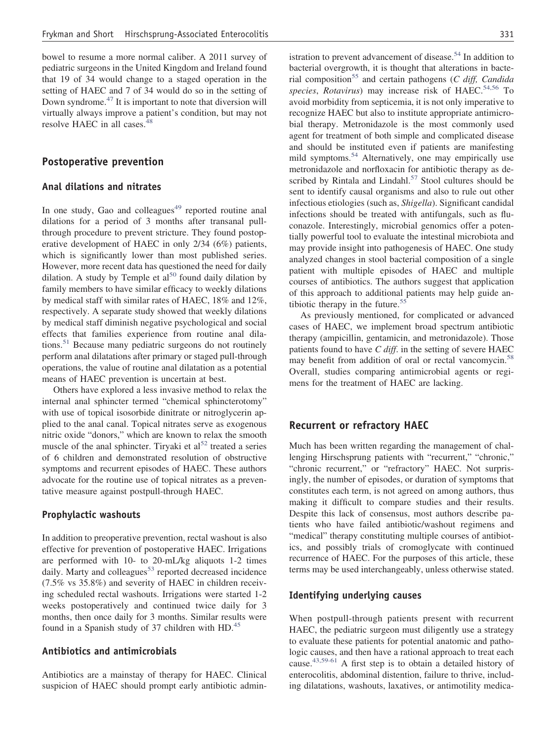bowel to resume a more normal caliber. A 2011 survey of pediatric surgeons in the United Kingdom and Ireland found that 19 of 34 would change to a staged operation in the setting of HAEC and 7 of 34 would do so in the setting of Down syndrome.[47](#page-7-16) It is important to note that diversion will virtually always improve a patient's condition, but may not resolve HAEC in all cases. $48$ 

## **Postoperative prevention**

#### **Anal dilations and nitrates**

In one study, Gao and colleagues<sup>[49](#page-7-18)</sup> reported routine anal dilations for a period of 3 months after transanal pullthrough procedure to prevent stricture. They found postoperative development of HAEC in only 2/34 (6%) patients, which is significantly lower than most published series. However, more recent data has questioned the need for daily dilation. A study by Temple et  $al<sup>50</sup>$  found daily dilation by family members to have similar efficacy to weekly dilations by medical staff with similar rates of HAEC, 18% and 12%, respectively. A separate study showed that weekly dilations by medical staff diminish negative psychological and social effects that families experience from routine anal dilations.[51](#page-7-20) Because many pediatric surgeons do not routinely perform anal dilatations after primary or staged pull-through operations, the value of routine anal dilatation as a potential means of HAEC prevention is uncertain at best.

Others have explored a less invasive method to relax the internal anal sphincter termed "chemical sphincterotomy" with use of topical isosorbide dinitrate or nitroglycerin applied to the anal canal. Topical nitrates serve as exogenous nitric oxide "donors," which are known to relax the smooth muscle of the anal sphincter. Tiryaki et  $al<sup>52</sup>$  $al<sup>52</sup>$  $al<sup>52</sup>$  treated a series of 6 children and demonstrated resolution of obstructive symptoms and recurrent episodes of HAEC. These authors advocate for the routine use of topical nitrates as a preventative measure against postpull-through HAEC.

#### **Prophylactic washouts**

In addition to preoperative prevention, rectal washout is also effective for prevention of postoperative HAEC. Irrigations are performed with 10- to 20-mL/kg aliquots 1-2 times daily. Marty and colleagues $53$  reported decreased incidence (7.5% vs 35.8%) and severity of HAEC in children receiving scheduled rectal washouts. Irrigations were started 1-2 weeks postoperatively and continued twice daily for 3 months, then once daily for 3 months. Similar results were found in a Spanish study of 37 children with HD.<sup>45</sup>

#### **Antibiotics and antimicrobials**

Antibiotics are a mainstay of therapy for HAEC. Clinical suspicion of HAEC should prompt early antibiotic administration to prevent advancement of disease.<sup>54</sup> In addition to bacterial overgrowth, it is thought that alterations in bacte-rial composition<sup>[55](#page-7-17)</sup> and certain pathogens (*C diff, Candida* species, *Rotavirus*) may increase risk of HAEC.<sup>[54,56](#page-7-24)</sup> To avoid morbidity from septicemia, it is not only imperative to recognize HAEC but also to institute appropriate antimicrobial therapy. Metronidazole is the most commonly used agent for treatment of both simple and complicated disease and should be instituted even if patients are manifesting mild symptoms.<sup>[54](#page-7-24)</sup> Alternatively, one may empirically use metronidazole and norfloxacin for antibiotic therapy as described by Rintala and Lindahl.<sup>57</sup> Stool cultures should be sent to identify causal organisms and also to rule out other infectious etiologies (such as, *Shigella*). Significant candidal infections should be treated with antifungals, such as fluconazole. Interestingly, microbial genomics offer a potentially powerful tool to evaluate the intestinal microbiota and may provide insight into pathogenesis of HAEC. One study analyzed changes in stool bacterial composition of a single patient with multiple episodes of HAEC and multiple courses of antibiotics. The authors suggest that application of this approach to additional patients may help guide antibiotic therapy in the future. $55$ 

As previously mentioned, for complicated or advanced cases of HAEC, we implement broad spectrum antibiotic therapy (ampicillin, gentamicin, and metronidazole). Those patients found to have *C diff*. in the setting of severe HAEC may benefit from addition of oral or rectal vancomycin.<sup>58</sup> Overall, studies comparing antimicrobial agents or regimens for the treatment of HAEC are lacking.

#### **Recurrent or refractory HAEC**

Much has been written regarding the management of challenging Hirschsprung patients with "recurrent," "chronic," "chronic recurrent," or "refractory" HAEC. Not surprisingly, the number of episodes, or duration of symptoms that constitutes each term, is not agreed on among authors, thus making it difficult to compare studies and their results. Despite this lack of consensus, most authors describe patients who have failed antibiotic/washout regimens and "medical" therapy constituting multiple courses of antibiotics, and possibly trials of cromoglycate with continued recurrence of HAEC. For the purposes of this article, these terms may be used interchangeably, unless otherwise stated.

#### **Identifying underlying causes**

When postpull-through patients present with recurrent HAEC, the pediatric surgeon must diligently use a strategy to evaluate these patients for potential anatomic and pathologic causes, and then have a rational approach to treat each cause.[43,59-61](#page-7-27) A first step is to obtain a detailed history of enterocolitis, abdominal distention, failure to thrive, including dilatations, washouts, laxatives, or antimotility medica-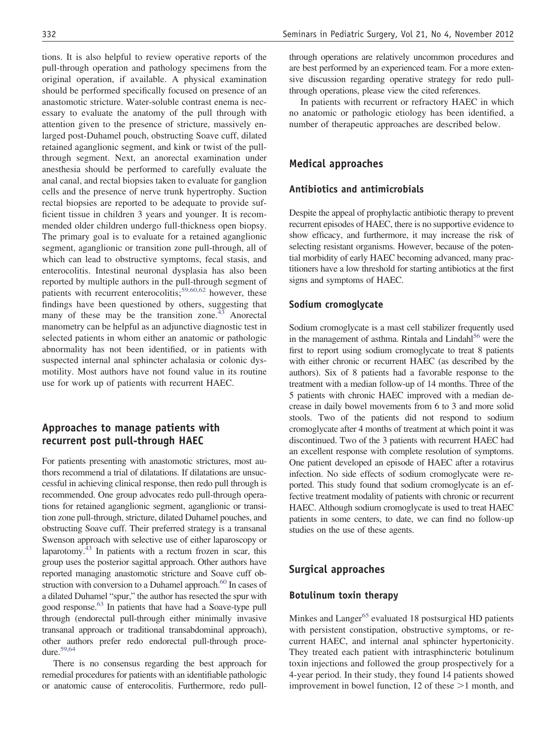tions. It is also helpful to review operative reports of the pull-through operation and pathology specimens from the original operation, if available. A physical examination should be performed specifically focused on presence of an anastomotic stricture. Water-soluble contrast enema is necessary to evaluate the anatomy of the pull through with attention given to the presence of stricture, massively enlarged post-Duhamel pouch, obstructing Soave cuff, dilated retained aganglionic segment, and kink or twist of the pullthrough segment. Next, an anorectal examination under anesthesia should be performed to carefully evaluate the anal canal, and rectal biopsies taken to evaluate for ganglion cells and the presence of nerve trunk hypertrophy. Suction rectal biopsies are reported to be adequate to provide sufficient tissue in children 3 years and younger. It is recommended older children undergo full-thickness open biopsy. The primary goal is to evaluate for a retained aganglionic segment, aganglionic or transition zone pull-through, all of which can lead to obstructive symptoms, fecal stasis, and enterocolitis. Intestinal neuronal dysplasia has also been reported by multiple authors in the pull-through segment of patients with recurrent enterocolitis;<sup>59,60,62</sup> however, these findings have been questioned by others, suggesting that many of these may be the transition zone. $43$  Anorectal manometry can be helpful as an adjunctive diagnostic test in selected patients in whom either an anatomic or pathologic abnormality has not been identified, or in patients with suspected internal anal sphincter achalasia or colonic dysmotility. Most authors have not found value in its routine use for work up of patients with recurrent HAEC.

# **Approaches to manage patients with recurrent post pull-through HAEC**

For patients presenting with anastomotic strictures, most authors recommend a trial of dilatations. If dilatations are unsuccessful in achieving clinical response, then redo pull through is recommended. One group advocates redo pull-through operations for retained aganglionic segment, aganglionic or transition zone pull-through, stricture, dilated Duhamel pouches, and obstructing Soave cuff. Their preferred strategy is a transanal Swenson approach with selective use of either laparoscopy or laparotomy.<sup>43</sup> In patients with a rectum frozen in scar, this group uses the posterior sagittal approach. Other authors have reported managing anastomotic stricture and Soave cuff obstruction with conversion to a Duhamel approach.<sup>60</sup> In cases of a dilated Duhamel "spur," the author has resected the spur with good response[.63](#page-7-30) In patients that have had a Soave-type pull through (endorectal pull-through either minimally invasive transanal approach or traditional transabdominal approach), other authors prefer redo endorectal pull-through procedure.<sup>59,64</sup>

There is no consensus regarding the best approach for remedial procedures for patients with an identifiable pathologic or anatomic cause of enterocolitis. Furthermore, redo pullthrough operations are relatively uncommon procedures and are best performed by an experienced team. For a more extensive discussion regarding operative strategy for redo pullthrough operations, please view the cited references.

In patients with recurrent or refractory HAEC in which no anatomic or pathologic etiology has been identified, a number of therapeutic approaches are described below.

## **Medical approaches**

#### **Antibiotics and antimicrobials**

Despite the appeal of prophylactic antibiotic therapy to prevent recurrent episodes of HAEC, there is no supportive evidence to show efficacy, and furthermore, it may increase the risk of selecting resistant organisms. However, because of the potential morbidity of early HAEC becoming advanced, many practitioners have a low threshold for starting antibiotics at the first signs and symptoms of HAEC.

## **Sodium cromoglycate**

Sodium cromoglycate is a mast cell stabilizer frequently used in the management of asthma. Rintala and Lindah $1^{56}$  were the first to report using sodium cromoglycate to treat 8 patients with either chronic or recurrent HAEC (as described by the authors). Six of 8 patients had a favorable response to the treatment with a median follow-up of 14 months. Three of the 5 patients with chronic HAEC improved with a median decrease in daily bowel movements from 6 to 3 and more solid stools. Two of the patients did not respond to sodium cromoglycate after 4 months of treatment at which point it was discontinued. Two of the 3 patients with recurrent HAEC had an excellent response with complete resolution of symptoms. One patient developed an episode of HAEC after a rotavirus infection. No side effects of sodium cromoglycate were reported. This study found that sodium cromoglycate is an effective treatment modality of patients with chronic or recurrent HAEC. Although sodium cromoglycate is used to treat HAEC patients in some centers, to date, we can find no follow-up studies on the use of these agents.

## **Surgical approaches**

#### **Botulinum toxin therapy**

Minkes and Langer<sup>65</sup> evaluated 18 postsurgical HD patients with persistent constipation, obstructive symptoms, or recurrent HAEC, and internal anal sphincter hypertonicity. They treated each patient with intrasphincteric botulinum toxin injections and followed the group prospectively for a 4-year period. In their study, they found 14 patients showed improvement in bowel function, 12 of these  $>1$  month, and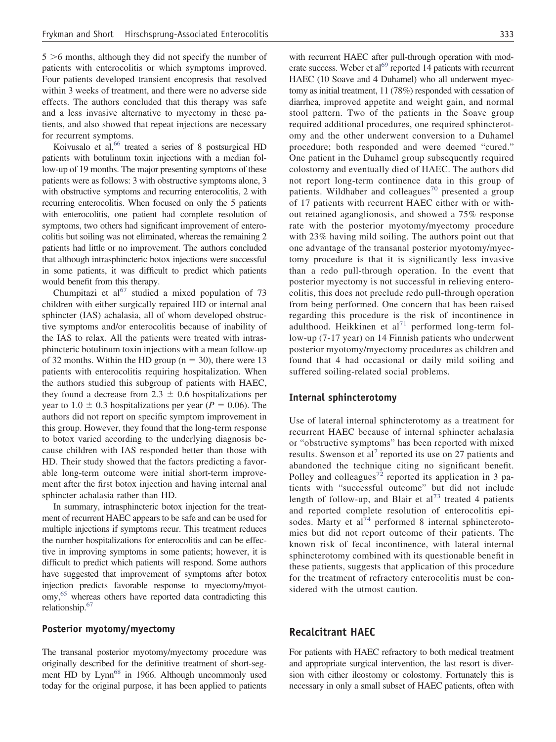$5 > 6$  months, although they did not specify the number of patients with enterocolitis or which symptoms improved. Four patients developed transient encopresis that resolved within 3 weeks of treatment, and there were no adverse side effects. The authors concluded that this therapy was safe and a less invasive alternative to myectomy in these patients, and also showed that repeat injections are necessary for recurrent symptoms.

Koivusalo et al, <sup>66</sup> treated a series of 8 postsurgical HD patients with botulinum toxin injections with a median follow-up of 19 months. The major presenting symptoms of these patients were as follows: 3 with obstructive symptoms alone, 3 with obstructive symptoms and recurring enterocolitis, 2 with recurring enterocolitis. When focused on only the 5 patients with enterocolitis, one patient had complete resolution of symptoms, two others had significant improvement of enterocolitis but soiling was not eliminated, whereas the remaining 2 patients had little or no improvement. The authors concluded that although intrasphincteric botox injections were successful in some patients, it was difficult to predict which patients would benefit from this therapy.

Chumpitazi et al<sup>[67](#page-7-34)</sup> studied a mixed population of 73 children with either surgically repaired HD or internal anal sphincter (IAS) achalasia, all of whom developed obstructive symptoms and/or enterocolitis because of inability of the IAS to relax. All the patients were treated with intrasphincteric botulinum toxin injections with a mean follow-up of 32 months. Within the HD group ( $n = 30$ ), there were 13 patients with enterocolitis requiring hospitalization. When the authors studied this subgroup of patients with HAEC, they found a decrease from 2.3  $\pm$  0.6 hospitalizations per year to  $1.0 \pm 0.3$  hospitalizations per year ( $P = 0.06$ ). The authors did not report on specific symptom improvement in this group. However, they found that the long-term response to botox varied according to the underlying diagnosis because children with IAS responded better than those with HD. Their study showed that the factors predicting a favorable long-term outcome were initial short-term improvement after the first botox injection and having internal anal sphincter achalasia rather than HD.

In summary, intrasphincteric botox injection for the treatment of recurrent HAEC appears to be safe and can be used for multiple injections if symptoms recur. This treatment reduces the number hospitalizations for enterocolitis and can be effective in improving symptoms in some patients; however, it is difficult to predict which patients will respond. Some authors have suggested that improvement of symptoms after botox injection predicts favorable response to myectomy/myotomy,<sup>65</sup> whereas others have reported data contradicting this relationship[.67](#page-7-34)

## **Posterior myotomy/myectomy**

The transanal posterior myotomy/myectomy procedure was originally described for the definitive treatment of short-segment HD by Lynn<sup>68</sup> in 1966. Although uncommonly used today for the original purpose, it has been applied to patients with recurrent HAEC after pull-through operation with moderate success. Weber et al<sup>69</sup> reported 14 patients with recurrent HAEC (10 Soave and 4 Duhamel) who all underwent myectomy as initial treatment, 11 (78%) responded with cessation of diarrhea, improved appetite and weight gain, and normal stool pattern. Two of the patients in the Soave group required additional procedures, one required sphincterotomy and the other underwent conversion to a Duhamel procedure; both responded and were deemed "cured." One patient in the Duhamel group subsequently required colostomy and eventually died of HAEC. The authors did not report long-term continence data in this group of patients. Wildhaber and colleagues<sup>[70](#page-7-37)</sup> presented a group of 17 patients with recurrent HAEC either with or without retained aganglionosis, and showed a 75% response rate with the posterior myotomy/myectomy procedure with 23% having mild soiling. The authors point out that one advantage of the transanal posterior myotomy/myectomy procedure is that it is significantly less invasive than a redo pull-through operation. In the event that posterior myectomy is not successful in relieving enterocolitis, this does not preclude redo pull-through operation from being performed. One concern that has been raised regarding this procedure is the risk of incontinence in adulthood. Heikkinen et al<sup>[71](#page-7-38)</sup> performed long-term follow-up (7-17 year) on 14 Finnish patients who underwent posterior myotomy/myectomy procedures as children and found that 4 had occasional or daily mild soiling and suffered soiling-related social problems.

#### **Internal sphincterotomy**

Use of lateral internal sphincterotomy as a treatment for recurrent HAEC because of internal sphincter achalasia or "obstructive symptoms" has been reported with mixed results. Swenson et al<sup>[7](#page-6-6)</sup> reported its use on 27 patients and abandoned the technique citing no significant benefit. Polley and colleagues<sup>[72](#page-7-17)</sup> reported its application in 3 patients with "successful outcome" but did not include length of follow-up, and Blair et  $al^{73}$  $al^{73}$  $al^{73}$  treated 4 patients and reported complete resolution of enterocolitis episodes. Marty et  $a1^{74}$  $a1^{74}$  $a1^{74}$  performed 8 internal sphincterotomies but did not report outcome of their patients. The known risk of fecal incontinence, with lateral internal sphincterotomy combined with its questionable benefit in these patients, suggests that application of this procedure for the treatment of refractory enterocolitis must be considered with the utmost caution.

## **Recalcitrant HAEC**

For patients with HAEC refractory to both medical treatment and appropriate surgical intervention, the last resort is diversion with either ileostomy or colostomy. Fortunately this is necessary in only a small subset of HAEC patients, often with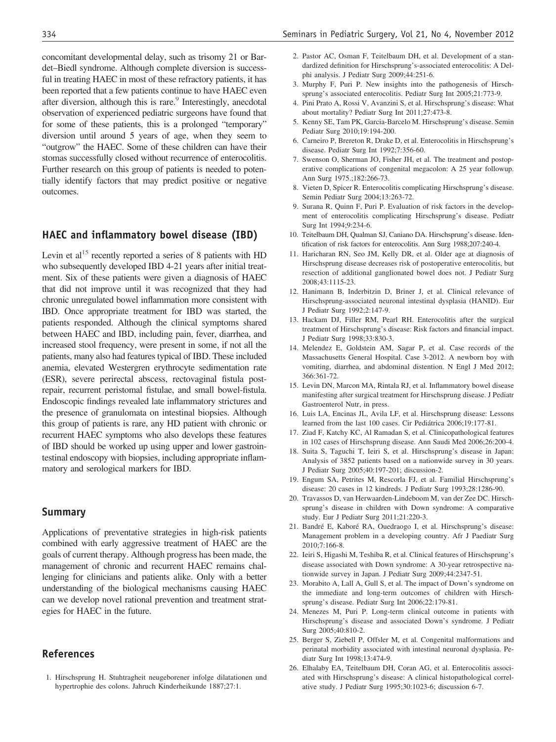<span id="page-6-9"></span>concomitant developmental delay, such as trisomy 21 or Bardet–Biedl syndrome. Although complete diversion is successful in treating HAEC in most of these refractory patients, it has been reported that a few patients continue to have HAEC even after diversion, although this is rare.<sup>9</sup> Interestingly, anecdotal observation of experienced pediatric surgeons have found that for some of these patients, this is a prolonged "temporary" diversion until around 5 years of age, when they seem to "outgrow" the HAEC. Some of these children can have their stomas successfully closed without recurrence of enterocolitis. Further research on this group of patients is needed to potentially identify factors that may predict positive or negative outcomes.

## **HAEC and inflammatory bowel disease (IBD)**

Levin et al<sup>15</sup> recently reported a series of 8 patients with HD who subsequently developed IBD 4-21 years after initial treatment. Six of these patients were given a diagnosis of HAEC that did not improve until it was recognized that they had chronic unregulated bowel inflammation more consistent with IBD. Once appropriate treatment for IBD was started, the patients responded. Although the clinical symptoms shared between HAEC and IBD, including pain, fever, diarrhea, and increased stool frequency, were present in some, if not all the patients, many also had features typical of IBD. These included anemia, elevated Westergren erythrocyte sedimentation rate (ESR), severe perirectal abscess, rectovaginal fistula postrepair, recurrent peristomal fistulae, and small bowel-fistula. Endoscopic findings revealed late inflammatory strictures and the presence of granulomata on intestinal biopsies. Although this group of patients is rare, any HD patient with chronic or recurrent HAEC symptoms who also develops these features of IBD should be worked up using upper and lower gastrointestinal endoscopy with biopsies, including appropriate inflammatory and serological markers for IBD.

#### **Summary**

Applications of preventative strategies in high-risk patients combined with early aggressive treatment of HAEC are the goals of current therapy. Although progress has been made, the management of chronic and recurrent HAEC remains challenging for clinicians and patients alike. Only with a better understanding of the biological mechanisms causing HAEC can we develop novel rational prevention and treatment strategies for HAEC in the future.

# <span id="page-6-0"></span>**References**

1. Hirschsprung H. Stuhtragheit neugeborener infolge dilatationen und hypertrophie des colons. Jahruch Kinderheikunde 1887;27:1.

- <span id="page-6-1"></span>2. Pastor AC, Osman F, Teitelbaum DH, et al. Development of a standardized definition for Hirschsprung's-associated enterocolitis: A Delphi analysis. J Pediatr Surg 2009;44:251-6.
- <span id="page-6-2"></span>3. Murphy F, Puri P. New insights into the pathogenesis of Hirschsprung's associated enterocolitis. Pediatr Surg Int 2005;21:773-9.
- <span id="page-6-3"></span>4. Pini Prato A, Rossi V, Avanzini S, et al. Hirschsprung's disease: What about mortality? Pediatr Surg Int 2011;27:473-8.
- <span id="page-6-5"></span><span id="page-6-4"></span>5. Kenny SE, Tam PK, Garcia-Barcelo M. Hirschsprung's disease. Semin Pediatr Surg 2010;19:194-200.
- <span id="page-6-6"></span>6. Carneiro P, Brereton R, Drake D, et al. Enterocolitis in Hirschsprung's disease. Pediatr Surg Int 1992;7:356-60.
- 7. Swenson O, Sherman JO, Fisher JH, et al. The treatment and postoperative complications of congenital megacolon: A 25 year followup. Ann Surg 1975.;182:266-73.
- <span id="page-6-7"></span>8. Vieten D, Spicer R. Enterocolitis complicating Hirschsprung's disease. Semin Pediatr Surg 2004;13:263-72.
- <span id="page-6-8"></span>9. Surana R, Quinn F, Puri P. Evaluation of risk factors in the development of enterocolitis complicating Hirschsprung's disease. Pediatr Surg Int 1994;9:234-6.
- <span id="page-6-10"></span>10. Teitelbaum DH, Qualman SJ, Caniano DA. Hirschsprung's disease. Identification of risk factors for enterocolitis. Ann Surg 1988;207:240-4.
- 11. Haricharan RN, Seo JM, Kelly DR, et al. Older age at diagnosis of Hirschsprung disease decreases risk of postoperative enterocolitis, but resection of additional ganglionated bowel does not. J Pediatr Surg 2008;43:1115-23.
- <span id="page-6-11"></span>12. Hanimann B, Inderbitzin D, Briner J, et al. Clinical relevance of Hirschsprung-associated neuronal intestinal dysplasia (HANID). Eur J Pediatr Surg 1992;2:147-9.
- <span id="page-6-12"></span>13. Hackam DJ, Filler RM, Pearl RH. Enterocolitis after the surgical treatment of Hirschsprung's disease: Risk factors and financial impact. J Pediatr Surg 1998;33:830-3.
- <span id="page-6-13"></span>14. Melendez E, Goldstein AM, Sagar P, et al. Case records of the Massachusetts General Hospital. Case 3-2012. A newborn boy with vomiting, diarrhea, and abdominal distention. N Engl J Med 2012; 366:361-72.
- <span id="page-6-14"></span>15. Levin DN, Marcon MA, Rintala RJ, et al. Inflammatory bowel disease manifesting after surgical treatment for Hirschsprung disease. J Pediatr Gastroenterol Nutr, in press.
- 16. Luis LA, Encinas JL, Avila LF, et al. Hirschsprung disease: Lessons learned from the last 100 cases. Cir Pediátrica 2006;19:177-81.
- 17. Ziad F, Katchy KC, Al Ramadan S, et al. Clinicopathological features in 102 cases of Hirschsprung disease. Ann Saudi Med 2006;26:200-4.
- 18. Suita S, Taguchi T, Ieiri S, et al. Hirschsprung's disease in Japan: Analysis of 3852 patients based on a nationwide survey in 30 years. J Pediatr Surg 2005;40:197-201; discussion-2.
- <span id="page-6-15"></span>19. Engum SA, Petrites M, Rescorla FJ, et al. Familial Hirschsprung's disease: 20 cases in 12 kindreds. J Pediatr Surg 1993;28:1286-90.
- 20. Travassos D, van Herwaarden-Lindeboom M, van der Zee DC. Hirschsprung's disease in children with Down syndrome: A comparative study. Eur J Pediatr Surg 2011;21:220-3.
- 21. Bandré E, Kaboré RA, Ouedraogo I, et al. Hirschsprung's disease: Management problem in a developing country. Afr J Paediatr Surg 2010;7:166-8.
- 22. Ieiri S, Higashi M, Teshiba R, et al. Clinical features of Hirschsprung's disease associated with Down syndrome: A 30-year retrospective nationwide survey in Japan. J Pediatr Surg 2009;44:2347-51.
- 23. Morabito A, Lall A, Gull S, et al. The impact of Down's syndrome on the immediate and long-term outcomes of children with Hirschsprung's disease. Pediatr Surg Int 2006;22:179-81.
- <span id="page-6-16"></span>24. Menezes M, Puri P. Long-term clinical outcome in patients with Hirschsprung's disease and associated Down's syndrome. J Pediatr Surg 2005;40:810-2.
- <span id="page-6-17"></span>25. Berger S, Ziebell P, Offsler M, et al. Congenital malformations and perinatal morbidity associated with intestinal neuronal dysplasia. Pediatr Surg Int 1998;13:474-9.
- 26. Elhalaby EA, Teitelbaum DH, Coran AG, et al. Enterocolitis associated with Hirschsprung's disease: A clinical histopathological correlative study. J Pediatr Surg 1995;30:1023-6; discussion 6-7.